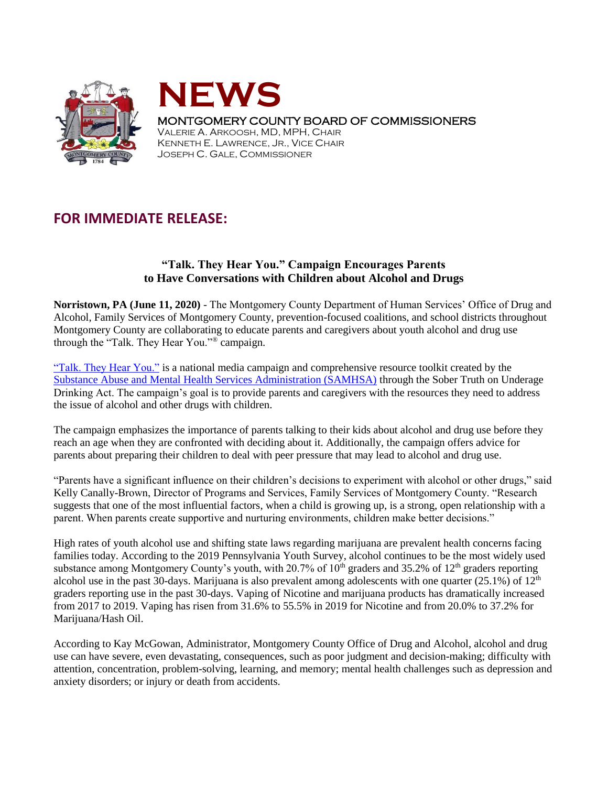



## MONTGOMERY COUNTY BOARD OF COMMISSIONERS

VALERIE A. ARKOOSH, MD, MPH, CHAIR KENNETH E. LAWRENCE, JR., VICE CHAIR JOSEPH C. GALE, COMMISSIONER

## **FOR IMMEDIATE RELEASE:**

## **"Talk. They Hear You." Campaign Encourages Parents to Have Conversations with Children about Alcohol and Drugs**

**Norristown, PA (June 11, 2020)** - The Montgomery County Department of Human Services' Office of Drug and Alcohol, Family Services of Montgomery County, prevention-focused coalitions, and school districts throughout Montgomery County are collaborating to educate parents and caregivers about youth alcohol and drug use through the "Talk. They Hear You."® campaign.

["Talk. They Hear You."](https://www.samhsa.gov/underage-drinking) is a national media campaign and comprehensive resource toolkit created by the [Substance Abuse and Mental Health Services Administration \(SAMHSA\)](https://www.samhsa.gov/) through the Sober Truth on Underage Drinking Act. The campaign's goal is to provide parents and caregivers with the resources they need to address the issue of alcohol and other drugs with children.

The campaign emphasizes the importance of parents talking to their kids about alcohol and drug use before they reach an age when they are confronted with deciding about it. Additionally, the campaign offers advice for parents about preparing their children to deal with peer pressure that may lead to alcohol and drug use.

"Parents have a significant influence on their children's decisions to experiment with alcohol or other drugs," said Kelly Canally-Brown, Director of Programs and Services, Family Services of Montgomery County. "Research suggests that one of the most influential factors, when a child is growing up, is a strong, open relationship with a parent. When parents create supportive and nurturing environments, children make better decisions."

High rates of youth alcohol use and shifting state laws regarding marijuana are prevalent health concerns facing families today. According to the 2019 Pennsylvania Youth Survey, alcohol continues to be the most widely used substance among Montgomery County's youth, with 20.7% of  $10<sup>th</sup>$  graders and 35.2% of  $12<sup>th</sup>$  graders reporting alcohol use in the past 30-days. Marijuana is also prevalent among adolescents with one quarter  $(25.1\%)$  of  $12<sup>th</sup>$ graders reporting use in the past 30-days. Vaping of Nicotine and marijuana products has dramatically increased from 2017 to 2019. Vaping has risen from 31.6% to 55.5% in 2019 for Nicotine and from 20.0% to 37.2% for Marijuana/Hash Oil.

According to Kay McGowan, Administrator, Montgomery County Office of Drug and Alcohol, alcohol and drug use can have severe, even devastating, consequences, such as poor judgment and decision-making; difficulty with attention, concentration, problem-solving, learning, and memory; mental health challenges such as depression and anxiety disorders; or injury or death from accidents.